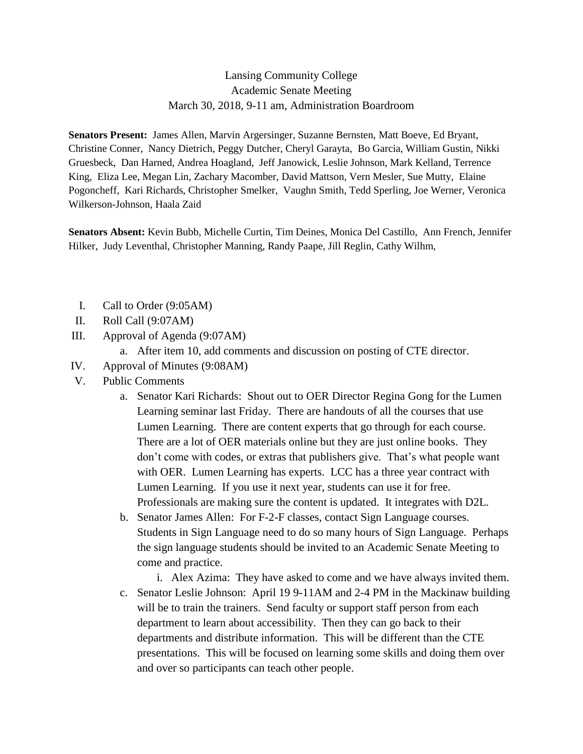## Lansing Community College Academic Senate Meeting March 30, 2018, 9-11 am, Administration Boardroom

**Senators Present:** James Allen, Marvin Argersinger, Suzanne Bernsten, Matt Boeve, Ed Bryant, Christine Conner, Nancy Dietrich, Peggy Dutcher, Cheryl Garayta, Bo Garcia, William Gustin, Nikki Gruesbeck, Dan Harned, Andrea Hoagland, Jeff Janowick, Leslie Johnson, Mark Kelland, Terrence King, Eliza Lee, Megan Lin, Zachary Macomber, David Mattson, Vern Mesler, Sue Mutty, Elaine Pogoncheff, Kari Richards, Christopher Smelker, Vaughn Smith, Tedd Sperling, Joe Werner, Veronica Wilkerson-Johnson, Haala Zaid

**Senators Absent:** Kevin Bubb, Michelle Curtin, Tim Deines, Monica Del Castillo, Ann French, Jennifer Hilker, Judy Leventhal, Christopher Manning, Randy Paape, Jill Reglin, Cathy Wilhm,

- I. Call to Order (9:05AM)
- II. Roll Call (9:07AM)
- III. Approval of Agenda (9:07AM)
	- a. After item 10, add comments and discussion on posting of CTE director.
- IV. Approval of Minutes (9:08AM)
- V. Public Comments
	- a. Senator Kari Richards: Shout out to OER Director Regina Gong for the Lumen Learning seminar last Friday. There are handouts of all the courses that use Lumen Learning. There are content experts that go through for each course. There are a lot of OER materials online but they are just online books. They don't come with codes, or extras that publishers give. That's what people want with OER. Lumen Learning has experts. LCC has a three year contract with Lumen Learning. If you use it next year, students can use it for free. Professionals are making sure the content is updated. It integrates with D2L.
	- b. Senator James Allen: For F-2-F classes, contact Sign Language courses. Students in Sign Language need to do so many hours of Sign Language. Perhaps the sign language students should be invited to an Academic Senate Meeting to come and practice.
	- i. Alex Azima: They have asked to come and we have always invited them. c. Senator Leslie Johnson: April 19 9-11AM and 2-4 PM in the Mackinaw building will be to train the trainers. Send faculty or support staff person from each department to learn about accessibility. Then they can go back to their departments and distribute information. This will be different than the CTE presentations. This will be focused on learning some skills and doing them over and over so participants can teach other people.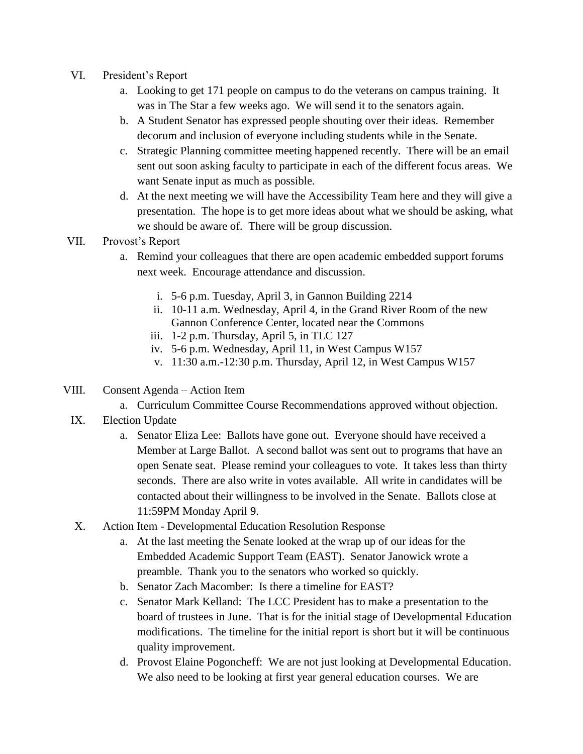- VI. President's Report
	- a. Looking to get 171 people on campus to do the veterans on campus training. It was in The Star a few weeks ago. We will send it to the senators again.
	- b. A Student Senator has expressed people shouting over their ideas. Remember decorum and inclusion of everyone including students while in the Senate.
	- c. Strategic Planning committee meeting happened recently. There will be an email sent out soon asking faculty to participate in each of the different focus areas. We want Senate input as much as possible.
	- d. At the next meeting we will have the Accessibility Team here and they will give a presentation. The hope is to get more ideas about what we should be asking, what we should be aware of. There will be group discussion.
- VII. Provost's Report
	- a. Remind your colleagues that there are open academic embedded support forums next week. Encourage attendance and discussion.
		- i. 5-6 p.m. Tuesday, April 3, in Gannon Building 2214
		- ii. 10-11 a.m. Wednesday, April 4, in the Grand River Room of the new Gannon Conference Center, located near the Commons
		- iii. 1-2 p.m. Thursday, April 5, in TLC 127
		- iv. 5-6 p.m. Wednesday, April 11, in West Campus W157
		- v. 11:30 a.m.-12:30 p.m. Thursday, April 12, in West Campus W157
- VIII. Consent Agenda Action Item
	- a. Curriculum Committee Course Recommendations approved without objection.
	- IX. Election Update
		- a. Senator Eliza Lee: Ballots have gone out. Everyone should have received a Member at Large Ballot. A second ballot was sent out to programs that have an open Senate seat. Please remind your colleagues to vote. It takes less than thirty seconds. There are also write in votes available. All write in candidates will be contacted about their willingness to be involved in the Senate. Ballots close at 11:59PM Monday April 9.
	- X. Action Item Developmental Education Resolution Response
		- a. At the last meeting the Senate looked at the wrap up of our ideas for the Embedded Academic Support Team (EAST). Senator Janowick wrote a preamble. Thank you to the senators who worked so quickly.
		- b. Senator Zach Macomber: Is there a timeline for EAST?
		- c. Senator Mark Kelland: The LCC President has to make a presentation to the board of trustees in June. That is for the initial stage of Developmental Education modifications. The timeline for the initial report is short but it will be continuous quality improvement.
		- d. Provost Elaine Pogoncheff: We are not just looking at Developmental Education. We also need to be looking at first year general education courses. We are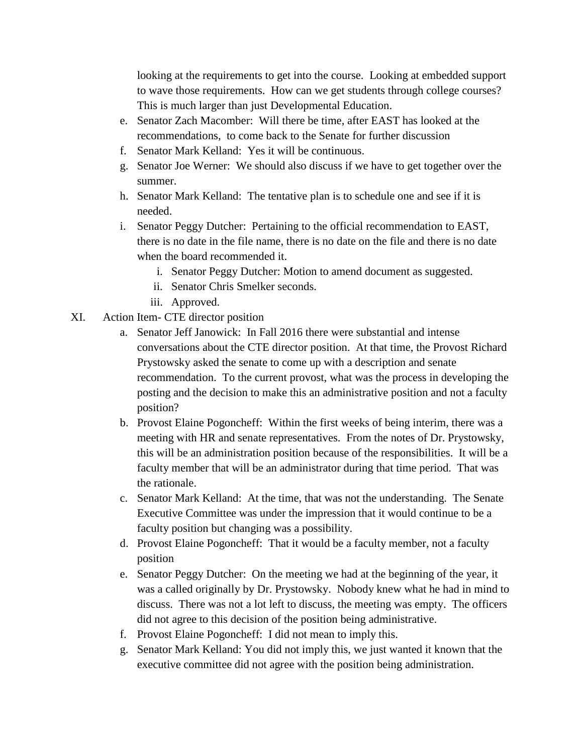looking at the requirements to get into the course. Looking at embedded support to wave those requirements. How can we get students through college courses? This is much larger than just Developmental Education.

- e. Senator Zach Macomber: Will there be time, after EAST has looked at the recommendations, to come back to the Senate for further discussion
- f. Senator Mark Kelland: Yes it will be continuous.
- g. Senator Joe Werner: We should also discuss if we have to get together over the summer.
- h. Senator Mark Kelland: The tentative plan is to schedule one and see if it is needed.
- i. Senator Peggy Dutcher: Pertaining to the official recommendation to EAST, there is no date in the file name, there is no date on the file and there is no date when the board recommended it.
	- i. Senator Peggy Dutcher: Motion to amend document as suggested.
	- ii. Senator Chris Smelker seconds.
	- iii. Approved.
- XI. Action Item- CTE director position
	- a. Senator Jeff Janowick: In Fall 2016 there were substantial and intense conversations about the CTE director position. At that time, the Provost Richard Prystowsky asked the senate to come up with a description and senate recommendation. To the current provost, what was the process in developing the posting and the decision to make this an administrative position and not a faculty position?
	- b. Provost Elaine Pogoncheff: Within the first weeks of being interim, there was a meeting with HR and senate representatives. From the notes of Dr. Prystowsky, this will be an administration position because of the responsibilities. It will be a faculty member that will be an administrator during that time period. That was the rationale.
	- c. Senator Mark Kelland: At the time, that was not the understanding. The Senate Executive Committee was under the impression that it would continue to be a faculty position but changing was a possibility.
	- d. Provost Elaine Pogoncheff: That it would be a faculty member, not a faculty position
	- e. Senator Peggy Dutcher: On the meeting we had at the beginning of the year, it was a called originally by Dr. Prystowsky. Nobody knew what he had in mind to discuss. There was not a lot left to discuss, the meeting was empty. The officers did not agree to this decision of the position being administrative.
	- f. Provost Elaine Pogoncheff: I did not mean to imply this.
	- g. Senator Mark Kelland: You did not imply this, we just wanted it known that the executive committee did not agree with the position being administration.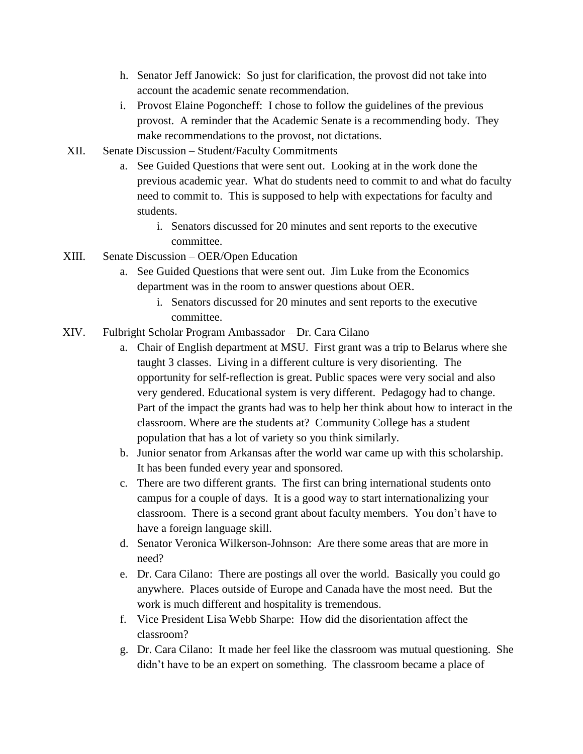- h. Senator Jeff Janowick: So just for clarification, the provost did not take into account the academic senate recommendation.
- i. Provost Elaine Pogoncheff: I chose to follow the guidelines of the previous provost. A reminder that the Academic Senate is a recommending body. They make recommendations to the provost, not dictations.
- XII. Senate Discussion Student/Faculty Commitments
	- a. See Guided Questions that were sent out. Looking at in the work done the previous academic year. What do students need to commit to and what do faculty need to commit to. This is supposed to help with expectations for faculty and students.
		- i. Senators discussed for 20 minutes and sent reports to the executive committee.
- XIII. Senate Discussion OER/Open Education
	- a. See Guided Questions that were sent out. Jim Luke from the Economics department was in the room to answer questions about OER.
		- i. Senators discussed for 20 minutes and sent reports to the executive committee.
- XIV. Fulbright Scholar Program Ambassador Dr. Cara Cilano
	- a. Chair of English department at MSU. First grant was a trip to Belarus where she taught 3 classes. Living in a different culture is very disorienting. The opportunity for self-reflection is great. Public spaces were very social and also very gendered. Educational system is very different. Pedagogy had to change. Part of the impact the grants had was to help her think about how to interact in the classroom. Where are the students at? Community College has a student population that has a lot of variety so you think similarly.
	- b. Junior senator from Arkansas after the world war came up with this scholarship. It has been funded every year and sponsored.
	- c. There are two different grants. The first can bring international students onto campus for a couple of days. It is a good way to start internationalizing your classroom. There is a second grant about faculty members. You don't have to have a foreign language skill.
	- d. Senator Veronica Wilkerson-Johnson: Are there some areas that are more in need?
	- e. Dr. Cara Cilano: There are postings all over the world. Basically you could go anywhere. Places outside of Europe and Canada have the most need. But the work is much different and hospitality is tremendous.
	- f. Vice President Lisa Webb Sharpe: How did the disorientation affect the classroom?
	- g. Dr. Cara Cilano: It made her feel like the classroom was mutual questioning. She didn't have to be an expert on something. The classroom became a place of